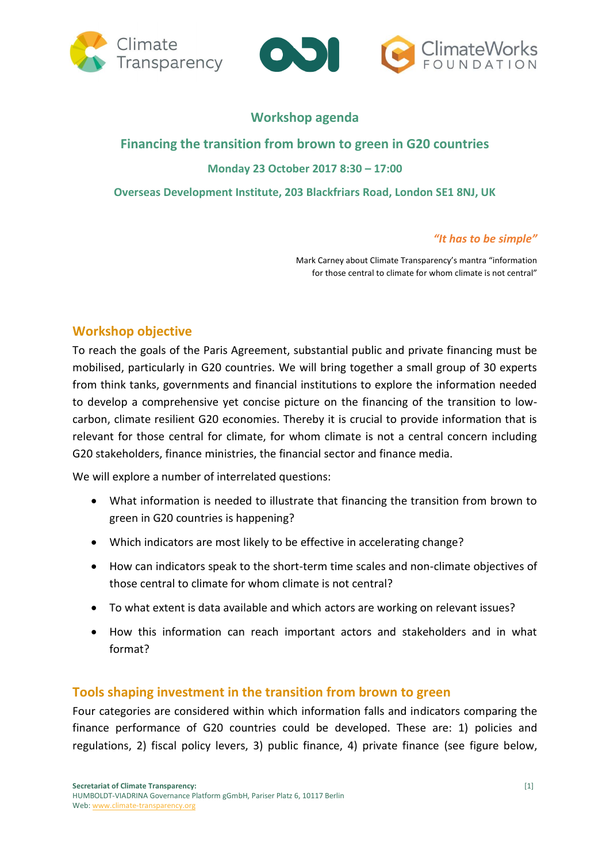



# **Workshop agenda**

# **Financing the transition from brown to green in G20 countries Monday 23 October 2017 8:30 – 17:00 Overseas Development Institute, 203 Blackfriars Road, London SE1 8NJ, UK**

## *"It has to be simple"*

Mark Carney about Climate Transparency's mantra "information for those central to climate for whom climate is not central"

## **Workshop objective**

To reach the goals of the Paris Agreement, substantial public and private financing must be mobilised, particularly in G20 countries. We will bring together a small group of 30 experts from think tanks, governments and financial institutions to explore the information needed to develop a comprehensive yet concise picture on the financing of the transition to lowcarbon, climate resilient G20 economies. Thereby it is crucial to provide information that is relevant for those central for climate, for whom climate is not a central concern including G20 stakeholders, finance ministries, the financial sector and finance media.

We will explore a number of interrelated questions:

- What information is needed to illustrate that financing the transition from brown to green in G20 countries is happening?
- Which indicators are most likely to be effective in accelerating change?
- How can indicators speak to the short-term time scales and non-climate objectives of those central to climate for whom climate is not central?
- To what extent is data available and which actors are working on relevant issues?
- How this information can reach important actors and stakeholders and in what format?

## **Tools shaping investment in the transition from brown to green**

Four categories are considered within which information falls and indicators comparing the finance performance of G20 countries could be developed. These are: 1) policies and regulations, 2) fiscal policy levers, 3) public finance, 4) private finance (see figure below,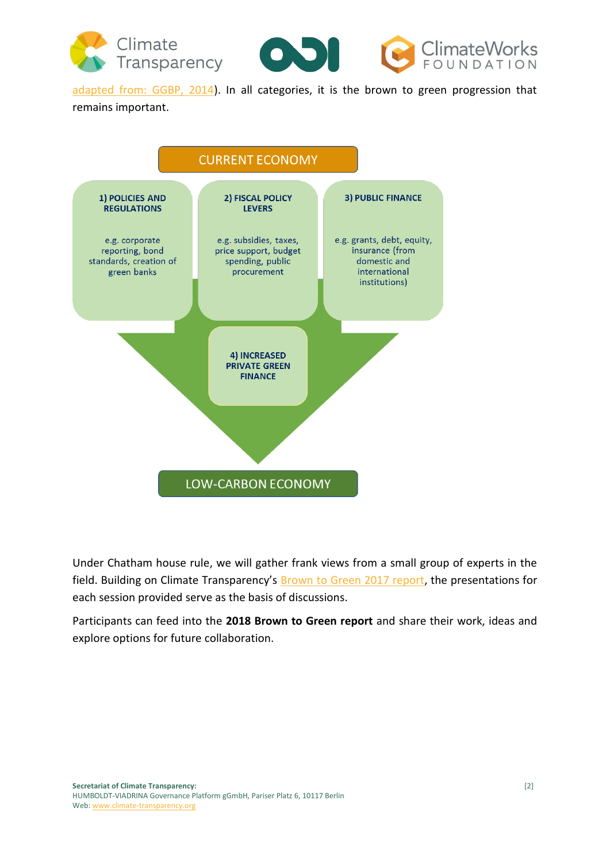

[adapted from: GGBP, 2014\)](http://www.greengrowthknowledge.org/sites/default/files/downloads/resource/Green-Growth-in-Practice-GGBP_0.pdf). In all categories, it is the brown to green progression that

### remains important.



Under Chatham house rule, we will gather frank views from a small group of experts in the field. Building on Climate Transparency's [Brown to Green 2017 report,](http://www.climate-transparency.org/g20-climate-performance/g20report2017/country-profiles) the presentations for each session provided serve as the basis of discussions.

Participants can feed into the **2018 Brown to Green report** and share their work, ideas and explore options for future collaboration.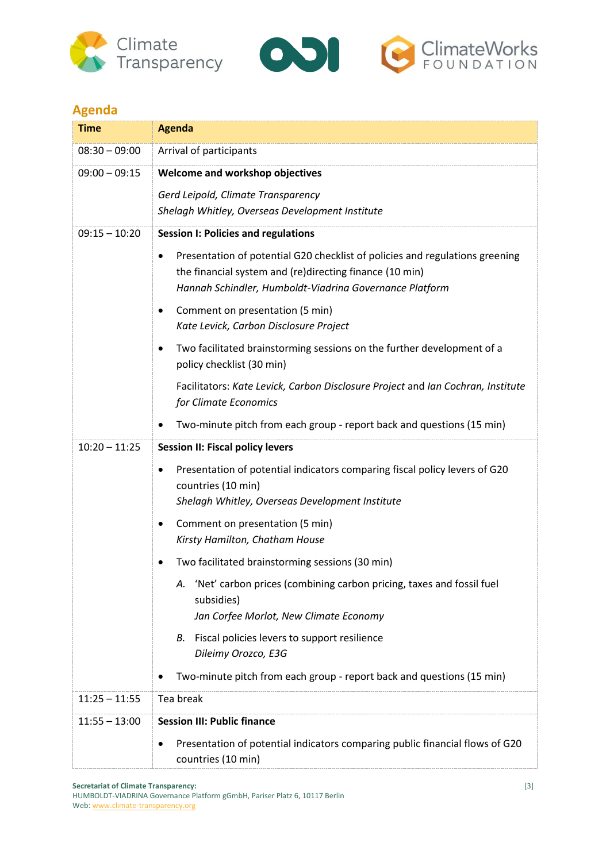



# **Agenda**

| <b>Time</b>     | <b>Agenda</b>                                                                                                                                                                                                   |
|-----------------|-----------------------------------------------------------------------------------------------------------------------------------------------------------------------------------------------------------------|
| $08:30 - 09:00$ | Arrival of participants                                                                                                                                                                                         |
| $09:00 - 09:15$ | Welcome and workshop objectives                                                                                                                                                                                 |
|                 | Gerd Leipold, Climate Transparency                                                                                                                                                                              |
|                 | Shelagh Whitley, Overseas Development Institute                                                                                                                                                                 |
| $09:15 - 10:20$ | <b>Session I: Policies and regulations</b>                                                                                                                                                                      |
|                 | Presentation of potential G20 checklist of policies and regulations greening<br>$\bullet$<br>the financial system and (re)directing finance (10 min)<br>Hannah Schindler, Humboldt-Viadrina Governance Platform |
|                 | Comment on presentation (5 min)<br>٠<br>Kate Levick, Carbon Disclosure Project                                                                                                                                  |
|                 | Two facilitated brainstorming sessions on the further development of a<br>٠<br>policy checklist (30 min)                                                                                                        |
|                 | Facilitators: Kate Levick, Carbon Disclosure Project and Ian Cochran, Institute<br>for Climate Economics                                                                                                        |
|                 | Two-minute pitch from each group - report back and questions (15 min)                                                                                                                                           |
| $10:20 - 11:25$ | <b>Session II: Fiscal policy levers</b>                                                                                                                                                                         |
|                 | Presentation of potential indicators comparing fiscal policy levers of G20<br>$\bullet$<br>countries (10 min)<br>Shelagh Whitley, Overseas Development Institute                                                |
|                 | Comment on presentation (5 min)<br>٠                                                                                                                                                                            |
|                 | Kirsty Hamilton, Chatham House                                                                                                                                                                                  |
|                 | Two facilitated brainstorming sessions (30 min)                                                                                                                                                                 |
|                 | 'Net' carbon prices (combining carbon pricing, taxes and fossil fuel<br>А.<br>subsidies)<br>Jan Corfee Morlot, New Climate Economy                                                                              |
|                 | Fiscal policies levers to support resilience<br>В.                                                                                                                                                              |
|                 | Dileimy Orozco, E3G                                                                                                                                                                                             |
|                 | Two-minute pitch from each group - report back and questions (15 min)                                                                                                                                           |
| $11:25 - 11:55$ | Tea break                                                                                                                                                                                                       |
| $11:55 - 13:00$ | <b>Session III: Public finance</b>                                                                                                                                                                              |
|                 | Presentation of potential indicators comparing public financial flows of G20<br>countries (10 min)                                                                                                              |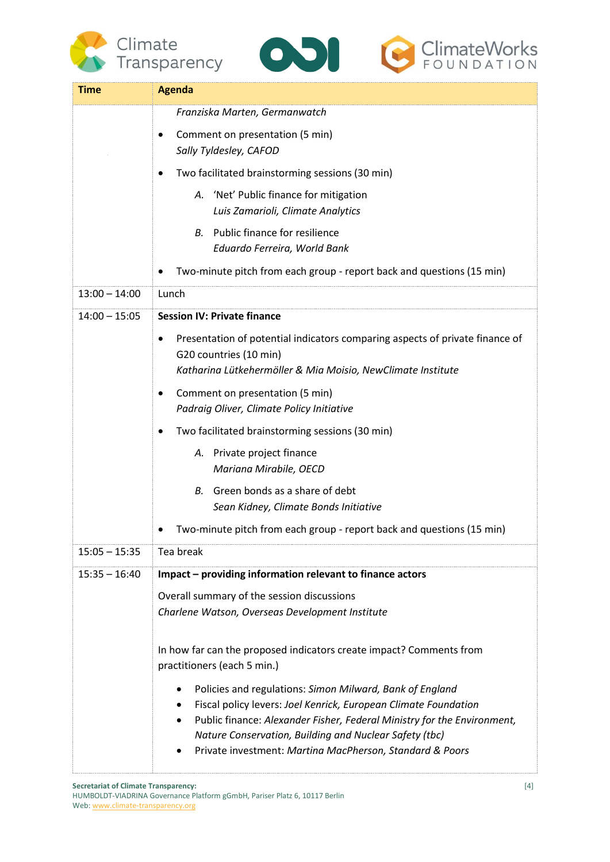





| Time            | <b>Agenda</b>                                                                                                                                                                                                                                                                                                                |
|-----------------|------------------------------------------------------------------------------------------------------------------------------------------------------------------------------------------------------------------------------------------------------------------------------------------------------------------------------|
|                 | Franziska Marten, Germanwatch                                                                                                                                                                                                                                                                                                |
|                 | Comment on presentation (5 min)<br>Sally Tyldesley, CAFOD                                                                                                                                                                                                                                                                    |
|                 | Two facilitated brainstorming sessions (30 min)                                                                                                                                                                                                                                                                              |
|                 | 'Net' Public finance for mitigation<br>А.<br>Luis Zamarioli, Climate Analytics                                                                                                                                                                                                                                               |
|                 | Public finance for resilience<br>В.<br>Eduardo Ferreira, World Bank                                                                                                                                                                                                                                                          |
|                 | Two-minute pitch from each group - report back and questions (15 min)                                                                                                                                                                                                                                                        |
| $13:00 - 14:00$ | Lunch                                                                                                                                                                                                                                                                                                                        |
| $14:00 - 15:05$ | <b>Session IV: Private finance</b>                                                                                                                                                                                                                                                                                           |
|                 | Presentation of potential indicators comparing aspects of private finance of<br>G20 countries (10 min)                                                                                                                                                                                                                       |
|                 | Katharina Lütkehermöller & Mia Moisio, NewClimate Institute                                                                                                                                                                                                                                                                  |
|                 | Comment on presentation (5 min)<br>Padraig Oliver, Climate Policy Initiative                                                                                                                                                                                                                                                 |
|                 | Two facilitated brainstorming sessions (30 min)                                                                                                                                                                                                                                                                              |
|                 | Private project finance<br>А.<br>Mariana Mirabile, OECD                                                                                                                                                                                                                                                                      |
|                 | Green bonds as a share of debt<br>В.<br>Sean Kidney, Climate Bonds Initiative                                                                                                                                                                                                                                                |
|                 | Two-minute pitch from each group - report back and questions (15 min)                                                                                                                                                                                                                                                        |
| $15:05 - 15:35$ | Tea break                                                                                                                                                                                                                                                                                                                    |
| $15:35 - 16:40$ | Impact - providing information relevant to finance actors                                                                                                                                                                                                                                                                    |
|                 | Overall summary of the session discussions                                                                                                                                                                                                                                                                                   |
|                 | Charlene Watson, Overseas Development Institute                                                                                                                                                                                                                                                                              |
|                 | In how far can the proposed indicators create impact? Comments from<br>practitioners (each 5 min.)                                                                                                                                                                                                                           |
|                 | Policies and regulations: Simon Milward, Bank of England<br>Fiscal policy levers: Joel Kenrick, European Climate Foundation<br>Public finance: Alexander Fisher, Federal Ministry for the Environment,<br>Nature Conservation, Building and Nuclear Safety (tbc)<br>Private investment: Martina MacPherson, Standard & Poors |